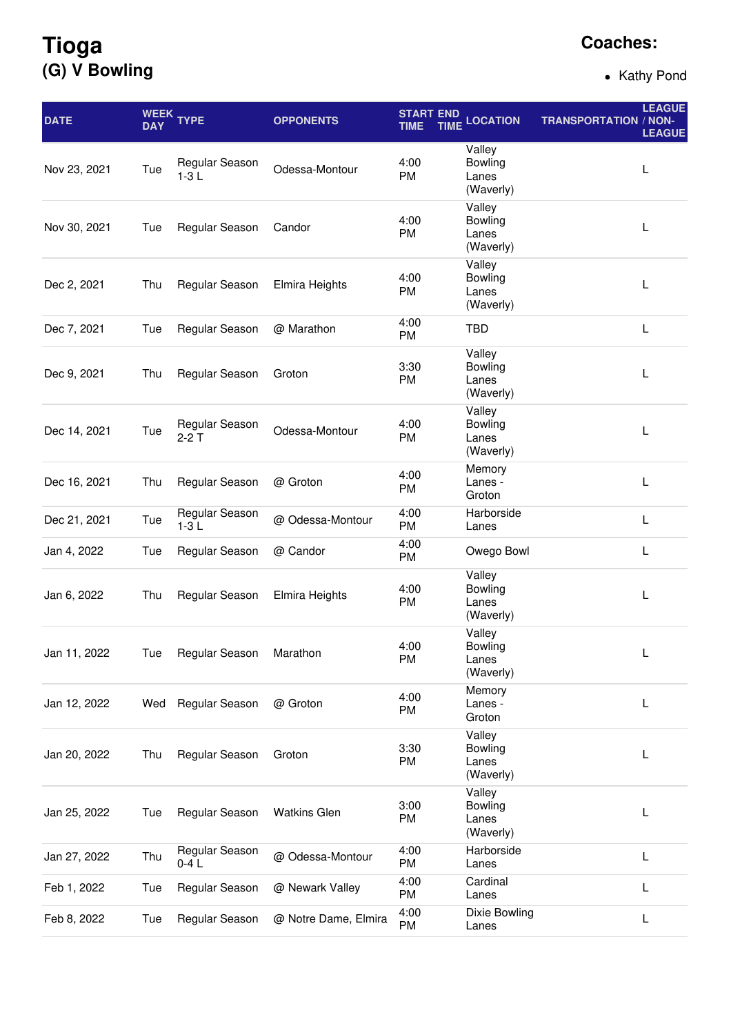## **Tioga (G) V Bowling**

## **Coaches:**

• Kathy Pond

| <b>DATE</b>  | <b>DAY</b> | WEEK TYPE                | <b>OPPONENTS</b>      | <b>START END</b><br><b>TIME</b> | <b>LOCATION</b><br><b>TIME</b>                 | <b>TRANSPORTATION / NON-</b> | <b>LEAGUE</b><br><b>LEAGUE</b> |
|--------------|------------|--------------------------|-----------------------|---------------------------------|------------------------------------------------|------------------------------|--------------------------------|
| Nov 23, 2021 | Tue        | Regular Season<br>$1-3L$ | Odessa-Montour        | 4:00<br>PM                      | Valley<br>Bowling<br>Lanes<br>(Waverly)        |                              | L                              |
| Nov 30, 2021 | Tue        | Regular Season           | Candor                | 4:00<br>PM                      | Valley<br><b>Bowling</b><br>Lanes<br>(Waverly) |                              | L                              |
| Dec 2, 2021  | Thu        | Regular Season           | <b>Elmira Heights</b> | 4:00<br>PM                      | Valley<br>Bowling<br>Lanes<br>(Waverly)        |                              | L                              |
| Dec 7, 2021  | Tue        | Regular Season           | @ Marathon            | 4:00<br>PM                      | <b>TBD</b>                                     |                              | L                              |
| Dec 9, 2021  | Thu        | Regular Season           | Groton                | 3:30<br>PM                      | Valley<br><b>Bowling</b><br>Lanes<br>(Waverly) |                              | L                              |
| Dec 14, 2021 | Tue        | Regular Season<br>$2-2T$ | Odessa-Montour        | 4:00<br>PM                      | Valley<br>Bowling<br>Lanes<br>(Waverly)        |                              | L                              |
| Dec 16, 2021 | Thu        | Regular Season           | @ Groton              | 4:00<br>PM                      | Memory<br>Lanes -<br>Groton                    |                              | L                              |
| Dec 21, 2021 | Tue        | Regular Season<br>$1-3L$ | @ Odessa-Montour      | 4:00<br>PM                      | Harborside<br>Lanes                            |                              | $\mathsf{L}$                   |
| Jan 4, 2022  | Tue        | Regular Season           | @ Candor              | 4:00<br>PM                      | Owego Bowl                                     |                              | L                              |
| Jan 6, 2022  | Thu        | Regular Season           | Elmira Heights        | 4:00<br>PM                      | Valley<br><b>Bowling</b><br>Lanes<br>(Waverly) |                              | L                              |
| Jan 11, 2022 | Tue        | Regular Season           | Marathon              | 4:00<br>PM                      | Valley<br>Bowling<br>Lanes<br>(Waverly)        |                              | L                              |
| Jan 12, 2022 | Wed        | Regular Season           | @ Groton              | 4:00<br>PM                      | Memory<br>Lanes -<br>Groton                    |                              | L                              |
| Jan 20, 2022 | Thu        | Regular Season           | Groton                | 3:30<br>PM                      | Valley<br>Bowling<br>Lanes<br>(Waverly)        |                              | L                              |
| Jan 25, 2022 | Tue        | Regular Season           | <b>Watkins Glen</b>   | 3:00<br>PM                      | Valley<br>Bowling<br>Lanes<br>(Waverly)        |                              | L                              |
| Jan 27, 2022 | Thu        | Regular Season<br>$0-4L$ | @ Odessa-Montour      | 4:00<br>PM                      | Harborside<br>Lanes                            |                              | L                              |
| Feb 1, 2022  | Tue        | Regular Season           | @ Newark Valley       | 4:00<br>PM                      | Cardinal<br>Lanes                              |                              | L                              |
| Feb 8, 2022  | Tue        | Regular Season           | @ Notre Dame, Elmira  | 4:00<br>PM                      | Dixie Bowling<br>Lanes                         |                              | L                              |